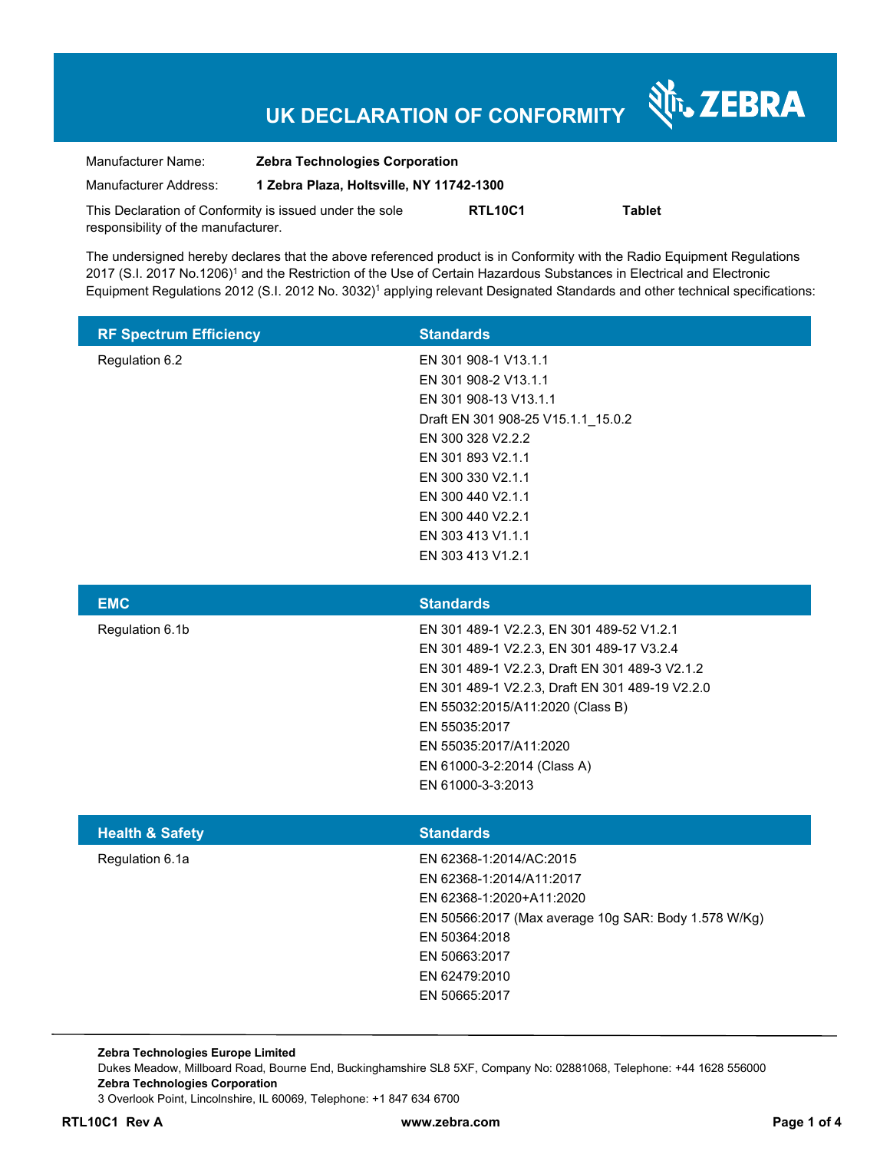# **UK DECLARATION OF CONFORMITY**

Nr. ZEBRA

| Manufacturer Name:                                      | <b>Zebra Technologies Corporation</b>    |                |               |  |
|---------------------------------------------------------|------------------------------------------|----------------|---------------|--|
| Manufacturer Address:                                   | 1 Zebra Plaza, Holtsville, NY 11742-1300 |                |               |  |
| This Declaration of Conformity is issued under the sole |                                          | <b>RTL10C1</b> | <b>Tablet</b> |  |
| responsibility of the manufacturer.                     |                                          |                |               |  |

The undersigned hereby declares that the above referenced product is in Conformity with the Radio Equipment Regulations 2017 (S.I. 2017 No.1206)<sup>1</sup> and the Restriction of the Use of Certain Hazardous Substances in Electrical and Electronic Equipment Regulations 2012 (S.I. 2012 No. 3032)<sup>1</sup> applying relevant Designated Standards and other technical specifications:

| <b>RF Spectrum Efficiency</b> | <b>Standards</b>                   |
|-------------------------------|------------------------------------|
| Regulation 6.2                | EN 301 908-1 V13.1.1               |
|                               | EN 301 908-2 V13.1.1               |
|                               | EN 301 908-13 V13.1.1              |
|                               | Draft EN 301 908-25 V15.1.1 15.0.2 |
|                               | EN 300 328 V2.2.2                  |
|                               | EN 301 893 V2.1.1                  |
|                               | EN 300 330 V2.1.1                  |
|                               | EN 300 440 V2.1.1                  |
|                               | EN 300 440 V2.2.1                  |
|                               | EN 303 413 V1.1.1                  |
|                               | EN 303 413 V1.2.1                  |

| <b>EMC</b>                 | <b>Standards</b>                                                                                                                                                                                                                                 |
|----------------------------|--------------------------------------------------------------------------------------------------------------------------------------------------------------------------------------------------------------------------------------------------|
| Regulation 6.1b            | EN 301 489-1 V2.2.3, EN 301 489-52 V1.2.1<br>EN 301 489-1 V2.2.3, EN 301 489-17 V3.2.4<br>EN 301 489-1 V2.2.3, Draft EN 301 489-3 V2.1.2<br>EN 301 489-1 V2.2.3, Draft EN 301 489-19 V2.2.0<br>EN 55032:2015/A11:2020 (Class B)<br>EN 55035:2017 |
| <b>Health &amp; Safety</b> | EN 55035:2017/A11:2020<br>EN 61000-3-2:2014 (Class A)<br>EN 61000-3-3:2013<br><b>Standards</b>                                                                                                                                                   |
| Regulation 6.1a            | EN 62368-1:2014/AC:2015<br>EN 62368-1:2014/A11:2017<br>EN 62368-1:2020+A11:2020<br>EN 50566:2017 (Max average 10g SAR: Body 1.578 W/Kg)<br>EN 50364:2018<br>EN 50663:2017<br>EN 62479:2010<br>EN 50665:2017                                      |

**Zebra Technologies Europe Limited**  Dukes Meadow, Millboard Road, Bourne End, Buckinghamshire SL8 5XF, Company No: 02881068, Telephone: +44 1628 556000 **Zebra Technologies Corporation**  3 Overlook Point, Lincolnshire, IL 60069, Telephone: +1 847 634 6700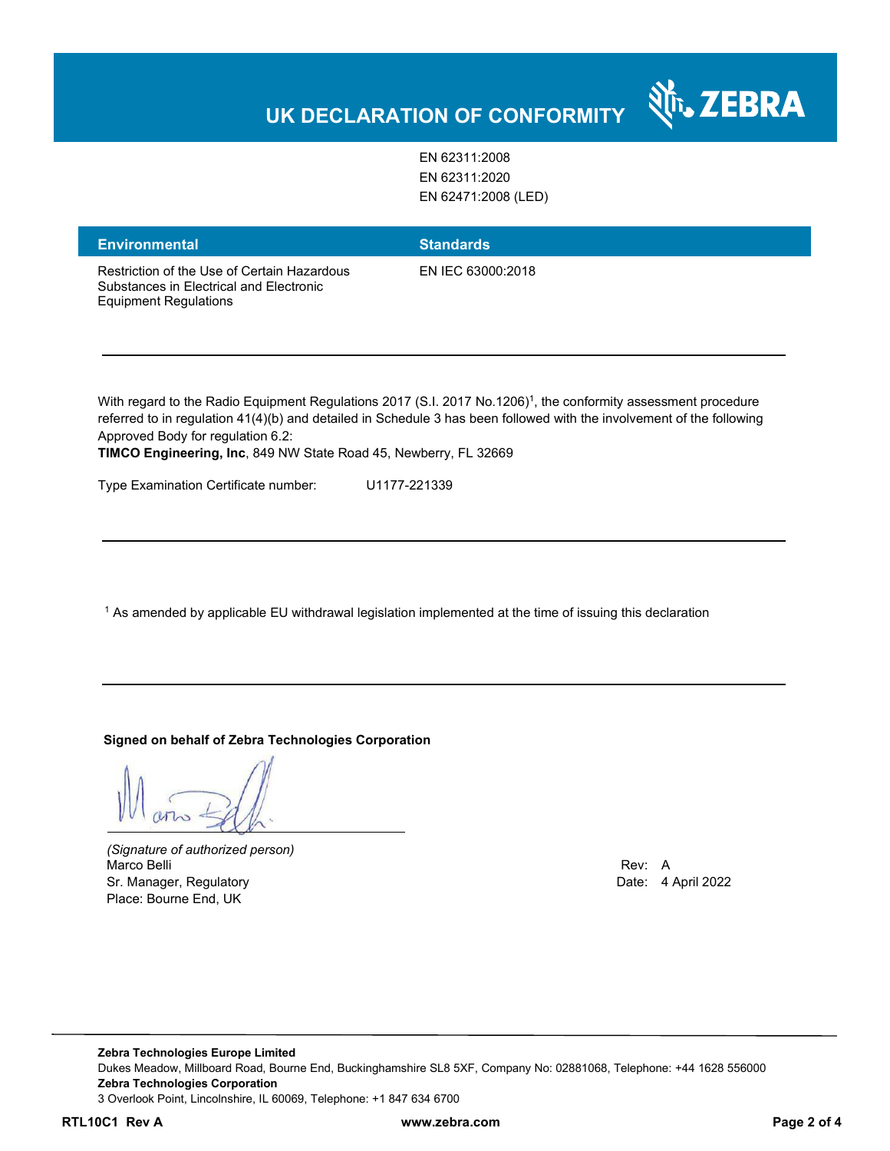## **UK DECLARATION OF CONFORMITY**

EN 62311:2008 EN 62311:2020 EN 62471:2008 (LED)

| <b>Environmental</b>                                                                                                   | <b>Standards</b>                                                                                                                                                                                                                                    |
|------------------------------------------------------------------------------------------------------------------------|-----------------------------------------------------------------------------------------------------------------------------------------------------------------------------------------------------------------------------------------------------|
| Restriction of the Use of Certain Hazardous<br>Substances in Flectrical and Flectronic<br><b>Equipment Regulations</b> | EN IEC 63000:2018                                                                                                                                                                                                                                   |
| Approved Body for regulation 6.2:                                                                                      | With regard to the Radio Equipment Regulations 2017 (S.I. 2017 No.1206) <sup>1</sup> , the conformity assessment procedure<br>referred to in regulation 41(4)(b) and detailed in Schedule 3 has been followed with the involvement of the following |

**TIMCO Engineering, Inc**, 849 NW State Road 45, Newberry, FL 32669

Type Examination Certificate number: U1177-221339

 $^{\rm 1}$  As amended by applicable EU withdrawal legislation implemented at the time of issuing this declaration

**Signed on behalf of Zebra Technologies Corporation** 

*(Signature of authorized person)* Marco Belli Rev: A Sr. Manager, Regulatory **Date: 4 April 2022** Place: Bourne End, UK

N<sub>T</sub>, ZEBRA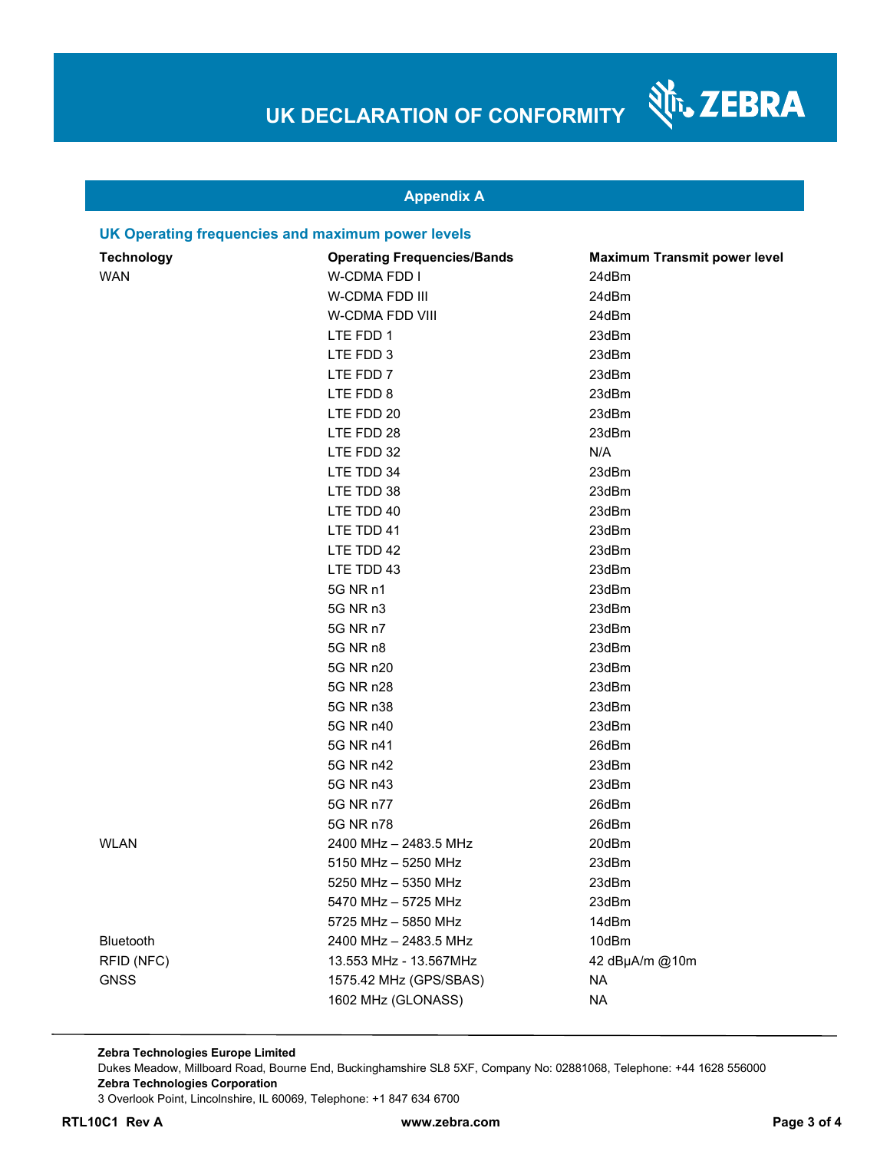श्री<sub>1</sub>, ZEBRA

### **Appendix A**

#### **UK Operating frequencies and maximum power levels**

| <b>Technology</b> | <b>Operating Frequencies/Bands</b> | <b>Maximum Transmit power level</b> |
|-------------------|------------------------------------|-------------------------------------|
| <b>WAN</b>        | <b>W-CDMA FDD I</b>                | 24dBm                               |
|                   | W-CDMA FDD III                     | 24dBm                               |
|                   | W-CDMA FDD VIII                    | 24dBm                               |
|                   | LTE FDD 1                          | 23dBm                               |
|                   | LTE FDD 3                          | 23dBm                               |
|                   | LTE FDD 7                          | 23dBm                               |
|                   | LTE FDD 8                          | 23dBm                               |
|                   | LTE FDD 20                         | 23dBm                               |
|                   | LTE FDD 28                         | 23dBm                               |
|                   | LTE FDD 32                         | N/A                                 |
|                   | LTE TDD 34                         | 23dBm                               |
|                   | LTE TDD 38                         | 23dBm                               |
|                   | LTE TDD 40                         | 23dBm                               |
|                   | LTE TDD 41                         | 23dBm                               |
|                   | LTE TDD 42                         | 23dBm                               |
|                   | LTE TDD 43                         | 23dBm                               |
|                   | 5G NR n1                           | 23dBm                               |
|                   | 5G NR n3                           | 23dBm                               |
|                   | 5G NR n7                           | 23dBm                               |
|                   | 5G NR n8                           | 23dBm                               |
|                   | 5G NR n20                          | 23dBm                               |
|                   | 5G NR n28                          | 23dBm                               |
|                   | 5G NR n38                          | 23dBm                               |
|                   | 5G NR n40                          | 23dBm                               |
|                   | 5G NR n41                          | 26dBm                               |
|                   | 5G NR n42                          | 23dBm                               |
|                   | 5G NR n43                          | 23dBm                               |
|                   | 5G NR n77                          | 26dBm                               |
|                   | 5G NR n78                          | 26dBm                               |
| <b>WLAN</b>       | 2400 MHz - 2483.5 MHz              | 20dBm                               |
|                   | 5150 MHz - 5250 MHz                | 23dBm                               |
|                   | 5250 MHz - 5350 MHz                | 23dBm                               |
|                   | 5470 MHz - 5725 MHz                | 23dBm                               |
|                   | 5725 MHz - 5850 MHz                | 14dBm                               |
| Bluetooth         | 2400 MHz - 2483.5 MHz              | 10dBm                               |
| RFID (NFC)        | 13.553 MHz - 13.567MHz             | 42 dBµA/m @10m                      |
| <b>GNSS</b>       | 1575.42 MHz (GPS/SBAS)             | <b>NA</b>                           |
|                   | 1602 MHz (GLONASS)                 | <b>NA</b>                           |

**Zebra Technologies Europe Limited**  Dukes Meadow, Millboard Road, Bourne End, Buckinghamshire SL8 5XF, Company No: 02881068, Telephone: +44 1628 556000 **Zebra Technologies Corporation**  3 Overlook Point, Lincolnshire, IL 60069, Telephone: +1 847 634 6700